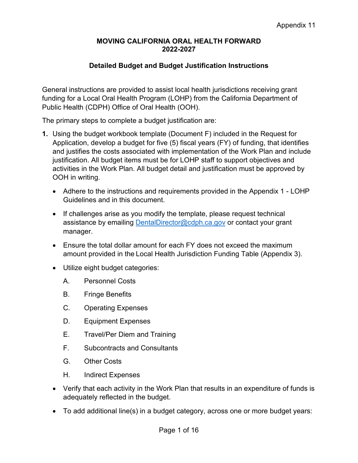### **Detailed Budget and Budget Justification Instructions**

General instructions are provided to assist local health jurisdictions receiving grant funding for a Local Oral Health Program (LOHP) from the California Department of Public Health (CDPH) Office of Oral Health (OOH).

The primary steps to complete a budget justification are:

- **1.** Using the budget workbook template (Document F) included in the Request for Application, develop a budget for five (5) fiscal years (FY) of funding, that identifies and justifies the costs associated with implementation of the Work Plan and include justification. All budget items must be for LOHP staff to support objectives and activities in the Work Plan. All budget detail and justification must be approved by OOH in writing.
	- Adhere to the instructions and requirements provided in the Appendix 1 LOHP Guidelines and in this document.
	- If challenges arise as you modify the template, please request technical assistance by emailing [DentalDirector@cdph.ca.gov](mailto:DentalDirector@cdph.ca.gov) or contact your grant manager.
	- Ensure the total dollar amount for each FY does not exceed the maximum amount provided in the Local Health Jurisdiction Funding Table (Appendix 3).
	- Utilize eight budget categories:
		- A. Personnel Costs
		- B. Fringe Benefits
		- C. Operating Expenses
		- D. Equipment Expenses
		- E. Travel/Per Diem and Training
		- F. Subcontracts and Consultants
		- G. Other Costs
		- H. Indirect Expenses
	- Verify that each activity in the Work Plan that results in an expenditure of funds is adequately reflected in the budget.
	- To add additional line(s) in a budget category, across one or more budget years: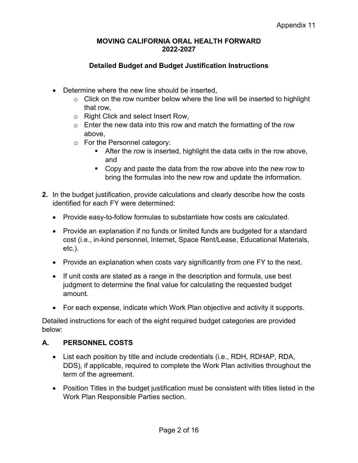## **Detailed Budget and Budget Justification Instructions**

- Determine where the new line should be inserted,
	- $\circ$  Click on the row number below where the line will be inserted to highlight that row,
	- o Right Click and select Insert Row,
	- $\circ$  Enter the new data into this row and match the formatting of the row above,
	- o For the Personnel category:
		- **After the row is inserted, highlight the data cells in the row above,** and
		- Copy and paste the data from the row above into the new row to bring the formulas into the new row and update the information.
- **2.** In the budget justification, provide calculations and clearly describe how the costs identified for each FY were determined:
	- Provide easy-to-follow formulas to substantiate how costs are calculated.
	- Provide an explanation if no funds or limited funds are budgeted for a standard cost (i.e., in-kind personnel, Internet, Space Rent/Lease, Educational Materials, etc.).
	- Provide an explanation when costs vary significantly from one FY to the next.
	- If unit costs are stated as a range in the description and formula, use best judgment to determine the final value for calculating the requested budget amount.
	- For each expense, indicate which Work Plan objective and activity it supports.

Detailed instructions for each of the eight required budget categories are provided below:

### **A. PERSONNEL COSTS**

- List each position by title and include credentials (i.e., RDH, RDHAP, RDA, DDS), if applicable, required to complete the Work Plan activities throughout the term of the agreement.
- Position Titles in the budget justification must be consistent with titles listed in the Work Plan Responsible Parties section.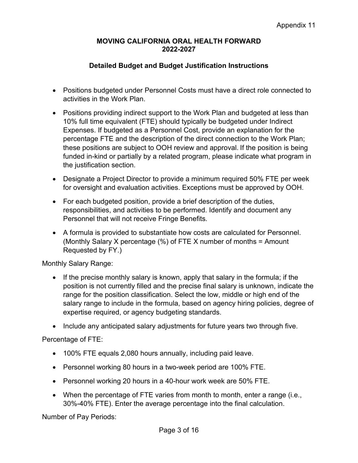## **Detailed Budget and Budget Justification Instructions**

- Positions budgeted under Personnel Costs must have a direct role connected to activities in the Work Plan.
- Positions providing indirect support to the Work Plan and budgeted at less than 10% full time equivalent (FTE) should typically be budgeted under Indirect Expenses. If budgeted as a Personnel Cost, provide an explanation for the percentage FTE and the description of the direct connection to the Work Plan; these positions are subject to OOH review and approval. If the position is being funded in-kind or partially by a related program, please indicate what program in the justification section.
- Designate a Project Director to provide a minimum required 50% FTE per week for oversight and evaluation activities. Exceptions must be approved by OOH.
- For each budgeted position, provide a brief description of the duties, responsibilities, and activities to be performed. Identify and document any Personnel that will not receive Fringe Benefits.
- A formula is provided to substantiate how costs are calculated for Personnel. (Monthly Salary X percentage  $(\%)$  of FTE X number of months = Amount Requested by FY.)

Monthly Salary Range:

- If the precise monthly salary is known, apply that salary in the formula; if the position is not currently filled and the precise final salary is unknown, indicate the range for the position classification. Select the low, middle or high end of the salary range to include in the formula, based on agency hiring policies, degree of expertise required, or agency budgeting standards.
- Include any anticipated salary adjustments for future years two through five.

Percentage of FTE:

- 100% FTE equals 2,080 hours annually, including paid leave.
- Personnel working 80 hours in a two-week period are 100% FTE.
- Personnel working 20 hours in a 40-hour work week are 50% FTE.
- When the percentage of FTE varies from month to month, enter a range (i.e., 30%-40% FTE). Enter the average percentage into the final calculation.

Number of Pay Periods: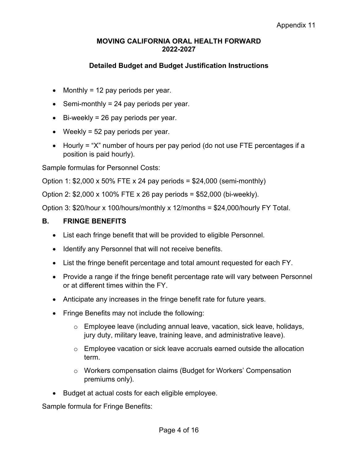## **Detailed Budget and Budget Justification Instructions**

- Monthly = 12 pay periods per year.
- Semi-monthly  $= 24$  pay periods per year.
- Bi-weekly = 26 pay periods per year.
- Weekly = 52 pay periods per year.
- Hourly = "X" number of hours per pay period (do not use FTE percentages if a position is paid hourly).

Sample formulas for Personnel Costs:

Option 1:  $$2,000 \times 50\%$  FTE x 24 pay periods =  $$24,000$  (semi-monthly)

Option 2: \$2,000 x 100% FTE x 26 pay periods = \$52,000 (bi-weekly).

Option 3: \$20/hour x 100/hours/monthly x 12/months = \$24,000/hourly FY Total.

### **B. FRINGE BENEFITS**

- List each fringe benefit that will be provided to eligible Personnel.
- Identify any Personnel that will not receive benefits.
- List the fringe benefit percentage and total amount requested for each FY.
- Provide a range if the fringe benefit percentage rate will vary between Personnel or at different times within the FY.
- Anticipate any increases in the fringe benefit rate for future years.
- Fringe Benefits may not include the following:
	- o Employee leave (including annual leave, vacation, sick leave, holidays, jury duty, military leave, training leave, and administrative leave).
	- $\circ$  Employee vacation or sick leave accruals earned outside the allocation term.
	- o Workers compensation claims (Budget for Workers' Compensation premiums only).
- Budget at actual costs for each eligible employee.

Sample formula for Fringe Benefits: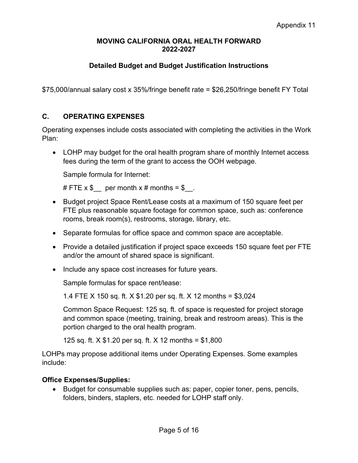# **Detailed Budget and Budget Justification Instructions**

\$75,000/annual salary cost x 35%/fringe benefit rate = \$26,250/fringe benefit FY Total

### **C. OPERATING EXPENSES**

Operating expenses include costs associated with completing the activities in the Work Plan:

• LOHP may budget for the oral health program share of monthly Internet access fees during the term of the grant to access the OOH webpage.

Sample formula for Internet:

# FTE  $x$  \$ per month  $x$  # months = \$.

- Budget project Space Rent/Lease costs at a maximum of 150 square feet per FTE plus reasonable square footage for common space, such as: conference rooms, break room(s), restrooms, storage, library, etc.
- Separate formulas for office space and common space are acceptable.
- Provide a detailed justification if project space exceeds 150 square feet per FTE and/or the amount of shared space is significant.
- Include any space cost increases for future years.

Sample formulas for space rent/lease:

1.4 FTE X 150 sq. ft. X \$1.20 per sq. ft. X 12 months = \$3,024

Common Space Request: 125 sq. ft. of space is requested for project storage and common space (meeting, training, break and restroom areas). This is the portion charged to the oral health program.

125 sq. ft. X \$1.20 per sq. ft. X 12 months = \$1,800

LOHPs may propose additional items under Operating Expenses. Some examples include:

### **Office Expenses/Supplies:**

• Budget for consumable supplies such as: paper, copier toner, pens, pencils, folders, binders, staplers, etc. needed for LOHP staff only.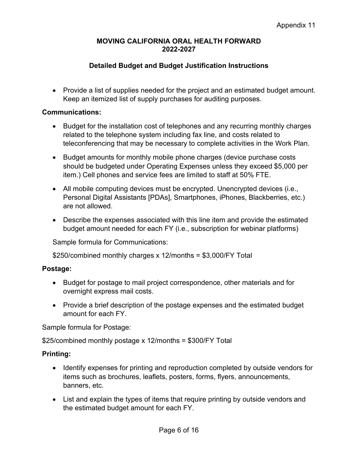## **Detailed Budget and Budget Justification Instructions**

• Provide a list of supplies needed for the project and an estimated budget amount. Keep an itemized list of supply purchases for auditing purposes.

#### **Communications:**

- Budget for the installation cost of telephones and any recurring monthly charges related to the telephone system including fax line, and costs related to teleconferencing that may be necessary to complete activities in the Work Plan.
- Budget amounts for monthly mobile phone charges (device purchase costs should be budgeted under Operating Expenses unless they exceed \$5,000 per item.) Cell phones and service fees are limited to staff at 50% FTE.
- All mobile computing devices must be encrypted. Unencrypted devices (i.e., Personal Digital Assistants [PDAs], Smartphones, iPhones, Blackberries, etc.) are not allowed.
- Describe the expenses associated with this line item and provide the estimated budget amount needed for each FY (i.e., subscription for webinar platforms)

Sample formula for Communications:

\$250/combined monthly charges x 12/months = \$3,000/FY Total

### **Postage:**

- Budget for postage to mail project correspondence, other materials and for overnight express mail costs.
- Provide a brief description of the postage expenses and the estimated budget amount for each FY.

Sample formula for Postage:

\$25/combined monthly postage x 12/months = \$300/FY Total

### **Printing:**

- Identify expenses for printing and reproduction completed by outside vendors for items such as brochures, leaflets, posters, forms, flyers, announcements, banners, etc.
- List and explain the types of items that require printing by outside vendors and the estimated budget amount for each FY.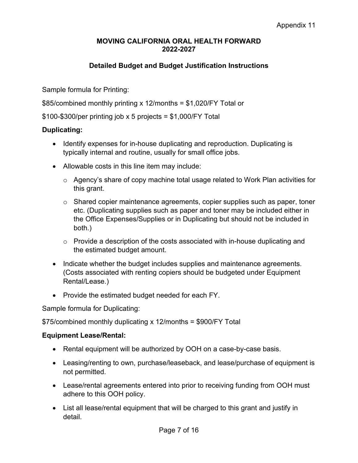## **Detailed Budget and Budget Justification Instructions**

Sample formula for Printing:

\$85/combined monthly printing x 12/months = \$1,020/FY Total or

 $$100-\$300/per$  printing job x 5 projects = \$1,000/FY Total

#### **Duplicating:**

- Identify expenses for in-house duplicating and reproduction. Duplicating is typically internal and routine, usually for small office jobs.
- Allowable costs in this line item may include:
	- o Agency's share of copy machine total usage related to Work Plan activities for this grant.
	- $\circ$  Shared copier maintenance agreements, copier supplies such as paper, toner etc. (Duplicating supplies such as paper and toner may be included either in the Office Expenses/Supplies or in Duplicating but should not be included in both.)
	- $\circ$  Provide a description of the costs associated with in-house duplicating and the estimated budget amount.
- Indicate whether the budget includes supplies and maintenance agreements. (Costs associated with renting copiers should be budgeted under Equipment Rental/Lease.)
- Provide the estimated budget needed for each FY.

Sample formula for Duplicating:

\$75/combined monthly duplicating x 12/months = \$900/FY Total

#### **Equipment Lease/Rental:**

- Rental equipment will be authorized by OOH on a case-by-case basis.
- Leasing/renting to own, purchase/leaseback, and lease/purchase of equipment is not permitted.
- Lease/rental agreements entered into prior to receiving funding from OOH must adhere to this OOH policy.
- List all lease/rental equipment that will be charged to this grant and justify in detail.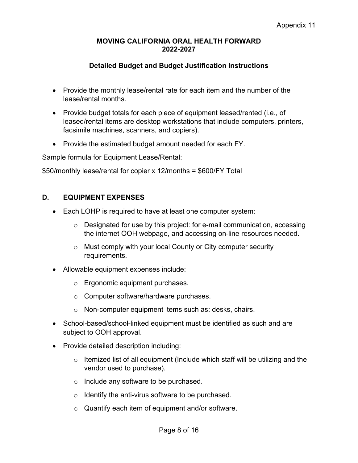## **Detailed Budget and Budget Justification Instructions**

- Provide the monthly lease/rental rate for each item and the number of the lease/rental months.
- Provide budget totals for each piece of equipment leased/rented (i.e., of leased/rental items are desktop workstations that include computers, printers, facsimile machines, scanners, and copiers).
- Provide the estimated budget amount needed for each FY.

Sample formula for Equipment Lease/Rental:

\$50/monthly lease/rental for copier x 12/months = \$600/FY Total

### **D. EQUIPMENT EXPENSES**

- Each LOHP is required to have at least one computer system:
	- o Designated for use by this project: for e-mail communication, accessing the internet OOH webpage, and accessing on-line resources needed.
	- o Must comply with your local County or City computer security requirements.
- Allowable equipment expenses include:
	- o Ergonomic equipment purchases.
	- o Computer software/hardware purchases.
	- o Non-computer equipment items such as: desks, chairs.
- School-based/school-linked equipment must be identified as such and are subject to OOH approval.
- Provide detailed description including:
	- $\circ$  Itemized list of all equipment (Include which staff will be utilizing and the vendor used to purchase).
	- o Include any software to be purchased.
	- o Identify the anti-virus software to be purchased.
	- o Quantify each item of equipment and/or software.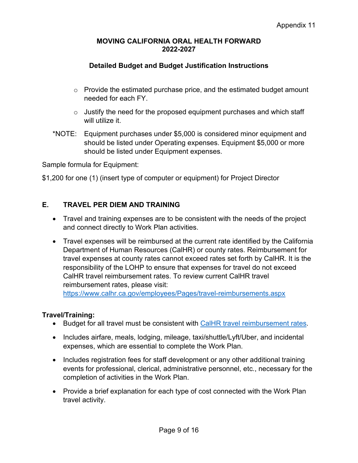## **Detailed Budget and Budget Justification Instructions**

- $\circ$  Provide the estimated purchase price, and the estimated budget amount needed for each FY.
- $\circ$  Justify the need for the proposed equipment purchases and which staff will utilize it.
- \*NOTE: Equipment purchases under \$5,000 is considered minor equipment and should be listed under Operating expenses. Equipment \$5,000 or more should be listed under Equipment expenses.

Sample formula for Equipment:

\$1,200 for one (1) (insert type of computer or equipment) for Project Director

## **E. TRAVEL PER DIEM AND TRAINING**

- Travel and training expenses are to be consistent with the needs of the project and connect directly to Work Plan activities.
- Travel expenses will be reimbursed at the current rate identified by the California Department of Human Resources (CalHR) or county rates. Reimbursement for travel expenses at county rates cannot exceed rates set forth by CalHR. It is the responsibility of the LOHP to ensure that expenses for travel do not exceed CalHR travel reimbursement rates. To review current CalHR travel reimbursement rates, please visit:

<https://www.calhr.ca.gov/employees/Pages/travel-reimbursements.aspx>

### **Travel/Training:**

- Budget for all travel must be consistent with [CalHR travel reimbursement rates.](https://www.calhr.ca.gov/employees/pages/travel-reimbursements.aspx)
- Includes airfare, meals, lodging, mileage, taxi/shuttle/Lyft/Uber, and incidental expenses, which are essential to complete the Work Plan.
- Includes registration fees for staff development or any other additional training events for professional, clerical, administrative personnel, etc., necessary for the completion of activities in the Work Plan.
- Provide a brief explanation for each type of cost connected with the Work Plan travel activity.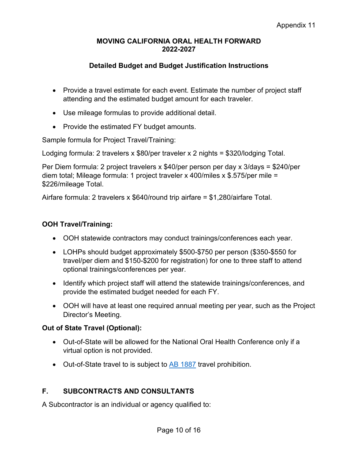## **Detailed Budget and Budget Justification Instructions**

- Provide a travel estimate for each event. Estimate the number of project staff attending and the estimated budget amount for each traveler.
- Use mileage formulas to provide additional detail.
- Provide the estimated FY budget amounts.

Sample formula for Project Travel/Training:

Lodging formula: 2 travelers x \$80/per traveler x 2 nights = \$320/lodging Total.

Per Diem formula: 2 project travelers x \$40/per person per day x 3/days = \$240/per diem total; Mileage formula: 1 project traveler x 400/miles x \$.575/per mile = \$226/mileage Total.

Airfare formula: 2 travelers x \$640/round trip airfare = \$1,280/airfare Total.

## **OOH Travel/Training:**

- OOH statewide contractors may conduct trainings/conferences each year.
- LOHPs should budget approximately \$500-\$750 per person (\$350-\$550 for travel/per diem and \$150-\$200 for registration) for one to three staff to attend optional trainings/conferences per year.
- Identify which project staff will attend the statewide trainings/conferences, and provide the estimated budget needed for each FY.
- OOH will have at least one required annual meeting per year, such as the Project Director's Meeting.

### **Out of State Travel (Optional):**

- Out-of-State will be allowed for the National Oral Health Conference only if a virtual option is not provided.
- Out-of-State travel to is subject to [AB 1887](https://oag.ca.gov/ab1887) travel prohibition.

# **F. SUBCONTRACTS AND CONSULTANTS**

A Subcontractor is an individual or agency qualified to: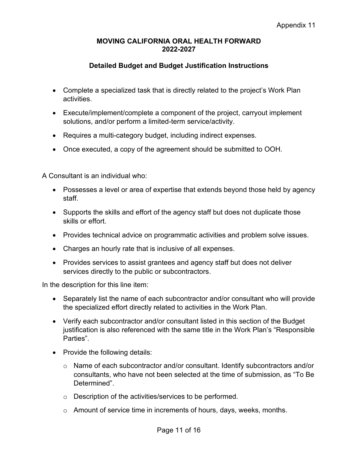## **Detailed Budget and Budget Justification Instructions**

- Complete a specialized task that is directly related to the project's Work Plan activities.
- Execute/implement/complete a component of the project, carryout implement solutions, and/or perform a limited-term service/activity.
- Requires a multi-category budget, including indirect expenses.
- Once executed, a copy of the agreement should be submitted to OOH.

A Consultant is an individual who:

- Possesses a level or area of expertise that extends beyond those held by agency staff.
- Supports the skills and effort of the agency staff but does not duplicate those skills or effort.
- Provides technical advice on programmatic activities and problem solve issues.
- Charges an hourly rate that is inclusive of all expenses.
- Provides services to assist grantees and agency staff but does not deliver services directly to the public or subcontractors.

In the description for this line item:

- Separately list the name of each subcontractor and/or consultant who will provide the specialized effort directly related to activities in the Work Plan.
- Verify each subcontractor and/or consultant listed in this section of the Budget justification is also referenced with the same title in the Work Plan's "Responsible Parties".
- Provide the following details:
	- o Name of each subcontractor and/or consultant. Identify subcontractors and/or consultants, who have not been selected at the time of submission, as "To Be Determined".
	- o Description of the activities/services to be performed.
	- $\circ$  Amount of service time in increments of hours, days, weeks, months.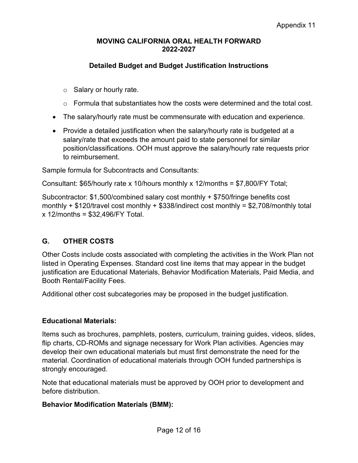# **Detailed Budget and Budget Justification Instructions**

- $\circ$  Salary or hourly rate.
- $\circ$  Formula that substantiates how the costs were determined and the total cost.
- The salary/hourly rate must be commensurate with education and experience.
- Provide a detailed justification when the salary/hourly rate is budgeted at a salary/rate that exceeds the amount paid to state personnel for similar position/classifications. OOH must approve the salary/hourly rate requests prior to reimbursement.

Sample formula for Subcontracts and Consultants:

Consultant: \$65/hourly rate x 10/hours monthly x 12/months = \$7,800/FY Total;

Subcontractor: \$1,500/combined salary cost monthly + \$750/fringe benefits cost monthly  $+$  \$120/travel cost monthly  $+$  \$338/indirect cost monthly = \$2,708/monthly total x 12/months = \$32,496/FY Total.

# **G. OTHER COSTS**

Other Costs include costs associated with completing the activities in the Work Plan not listed in Operating Expenses. Standard cost line items that may appear in the budget justification are Educational Materials, Behavior Modification Materials, Paid Media, and Booth Rental/Facility Fees.

Additional other cost subcategories may be proposed in the budget justification.

### **Educational Materials:**

Items such as brochures, pamphlets, posters, curriculum, training guides, videos, slides, flip charts, CD-ROMs and signage necessary for Work Plan activities. Agencies may develop their own educational materials but must first demonstrate the need for the material. Coordination of educational materials through OOH funded partnerships is strongly encouraged.

Note that educational materials must be approved by OOH prior to development and before distribution.

### **Behavior Modification Materials (BMM):**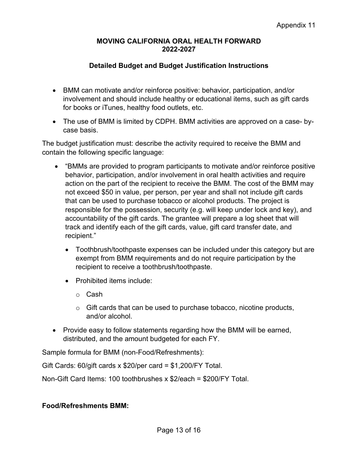## **Detailed Budget and Budget Justification Instructions**

- BMM can motivate and/or reinforce positive: behavior, participation, and/or involvement and should include healthy or educational items, such as gift cards for books or iTunes, healthy food outlets, etc.
- The use of BMM is limited by CDPH. BMM activities are approved on a case- bycase basis.

The budget justification must: describe the activity required to receive the BMM and contain the following specific language:

- "BMMs are provided to program participants to motivate and/or reinforce positive behavior, participation, and/or involvement in oral health activities and require action on the part of the recipient to receive the BMM. The cost of the BMM may not exceed \$50 in value, per person, per year and shall not include gift cards that can be used to purchase tobacco or alcohol products. The project is responsible for the possession, security (e.g. will keep under lock and key), and accountability of the gift cards. The grantee will prepare a log sheet that will track and identify each of the gift cards, value, gift card transfer date, and recipient."
	- Toothbrush/toothpaste expenses can be included under this category but are exempt from BMM requirements and do not require participation by the recipient to receive a toothbrush/toothpaste.
	- Prohibited items include:
		- o Cash
		- $\circ$  Gift cards that can be used to purchase tobacco, nicotine products, and/or alcohol.
- Provide easy to follow statements regarding how the BMM will be earned, distributed, and the amount budgeted for each FY.

Sample formula for BMM (non-Food/Refreshments):

Gift Cards: 60/gift cards x \$20/per card = \$1,200/FY Total.

Non-Gift Card Items: 100 toothbrushes x \$2/each = \$200/FY Total.

### **Food/Refreshments BMM:**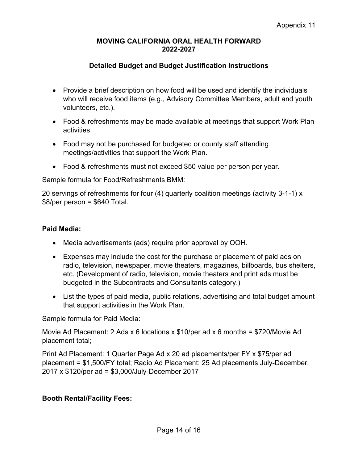## **Detailed Budget and Budget Justification Instructions**

- Provide a brief description on how food will be used and identify the individuals who will receive food items (e.g., Advisory Committee Members, adult and youth volunteers, etc.).
- Food & refreshments may be made available at meetings that support Work Plan activities.
- Food may not be purchased for budgeted or county staff attending meetings/activities that support the Work Plan.
- Food & refreshments must not exceed \$50 value per person per year.

Sample formula for Food/Refreshments BMM:

20 servings of refreshments for four (4) quarterly coalition meetings (activity 3-1-1) x  $$8/per$  person =  $$640$  Total.

### **Paid Media:**

- Media advertisements (ads) require prior approval by OOH.
- Expenses may include the cost for the purchase or placement of paid ads on radio, television, newspaper, movie theaters, magazines, billboards, bus shelters, etc. (Development of radio, television, movie theaters and print ads must be budgeted in the Subcontracts and Consultants category.)
- List the types of paid media, public relations, advertising and total budget amount that support activities in the Work Plan.

Sample formula for Paid Media:

Movie Ad Placement: 2 Ads x 6 locations x \$10/per ad x 6 months = \$720/Movie Ad placement total;

Print Ad Placement: 1 Quarter Page Ad x 20 ad placements/per FY x \$75/per ad placement = \$1,500/FY total; Radio Ad Placement: 25 Ad placements July-December, 2017 x \$120/per ad = \$3,000/July-December 2017

# **Booth Rental/Facility Fees:**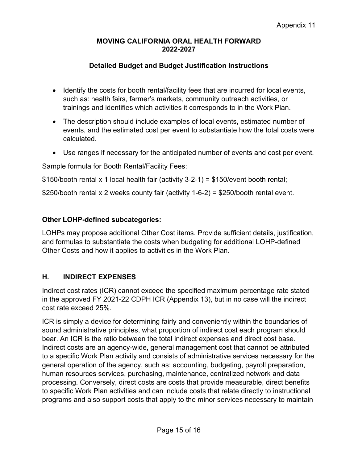## **Detailed Budget and Budget Justification Instructions**

- Identify the costs for booth rental/facility fees that are incurred for local events, such as: health fairs, farmer's markets, community outreach activities, or trainings and identifies which activities it corresponds to in the Work Plan.
- The description should include examples of local events, estimated number of events, and the estimated cost per event to substantiate how the total costs were calculated.
- Use ranges if necessary for the anticipated number of events and cost per event.

Sample formula for Booth Rental/Facility Fees:

\$150/booth rental x 1 local health fair (activity 3-2-1) = \$150/event booth rental;

\$250/booth rental x 2 weeks county fair (activity 1-6-2) = \$250/booth rental event.

## **Other LOHP-defined subcategories:**

LOHPs may propose additional Other Cost items. Provide sufficient details, justification, and formulas to substantiate the costs when budgeting for additional LOHP-defined Other Costs and how it applies to activities in the Work Plan.

# **H. INDIRECT EXPENSES**

Indirect cost rates (ICR) cannot exceed the specified maximum percentage rate stated in the approved FY 2021-22 CDPH ICR (Appendix 13), but in no case will the indirect cost rate exceed 25%.

ICR is simply a device for determining fairly and conveniently within the boundaries of sound administrative principles, what proportion of indirect cost each program should bear. An ICR is the ratio between the total indirect expenses and direct cost base. Indirect costs are an agency-wide, general management cost that cannot be attributed to a specific Work Plan activity and consists of administrative services necessary for the general operation of the agency, such as: accounting, budgeting, payroll preparation, human resources services, purchasing, maintenance, centralized network and data processing. Conversely, direct costs are costs that provide measurable, direct benefits to specific Work Plan activities and can include costs that relate directly to instructional programs and also support costs that apply to the minor services necessary to maintain